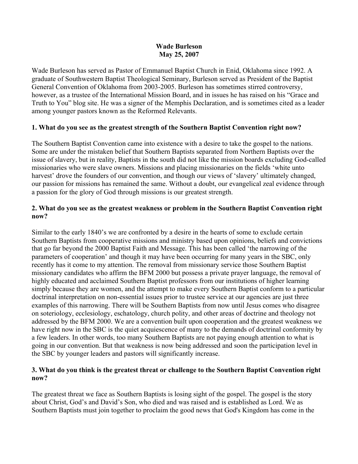#### **Wade Burleson May 25, 2007**

Wade Burleson has served as Pastor of Emmanuel Baptist Church in Enid, Oklahoma since 1992. A graduate of Southwestern Baptist Theological Seminary, Burleson served as President of the Baptist General Convention of Oklahoma from 2003-2005. Burleson has sometimes stirred controversy, however, as a trustee of the International Mission Board, and in issues he has raised on his "Grace and Truth to You" blog site. He was a signer of the Memphis Declaration, and is sometimes cited as a leader among younger pastors known as the Reformed Relevants.

### **1. What do you see as the greatest strength of the Southern Baptist Convention right now?**

The Southern Baptist Convention came into existence with a desire to take the gospel to the nations. Some are under the mistaken belief that Southern Baptists separated from Northern Baptists over the issue of slavery, but in reality, Baptists in the south did not like the mission boards excluding God-called missionaries who were slave owners. Missions and placing missionaries on the fields 'white unto harvest' drove the founders of our convention, and though our views of 'slavery' ultimately changed, our passion for missions has remained the same. Without a doubt, our evangelical zeal evidence through a passion for the glory of God through missions is our greatest strength.

### **2. What do you see as the greatest weakness or problem in the Southern Baptist Convention right now?**

Similar to the early 1840's we are confronted by a desire in the hearts of some to exclude certain Southern Baptists from cooperative missions and ministry based upon opinions, beliefs and convictions that go far beyond the 2000 Baptist Faith and Message. This has been called 'the narrowing of the parameters of cooperation' and though it may have been occurring for many years in the SBC, only recently has it come to my attention. The removal from missionary service those Southern Baptist missionary candidates who affirm the BFM 2000 but possess a private prayer language, the removal of highly educated and acclaimed Southern Baptist professors from our institutions of higher learning simply because they are women, and the attempt to make every Southern Baptist conform to a particular doctrinal interpretation on non-essential issues prior to trustee service at our agencies are just three examples of this narrowing. There will be Southern Baptists from now until Jesus comes who disagree on soteriology, ecclesiology, eschatology, church polity, and other areas of doctrine and theology not addressed by the BFM 2000. We are a convention built upon cooperation and the greatest weakness we have right now in the SBC is the quiet acquiescence of many to the demands of doctrinal conformity by a few leaders. In other words, too many Southern Baptists are not paying enough attention to what is going in our convention. But that weakness is now being addressed and soon the participation level in the SBC by younger leaders and pastors will significantly increase.

### **3. What do you think is the greatest threat or challenge to the Southern Baptist Convention right now?**

The greatest threat we face as Southern Baptists is losing sight of the gospel. The gospel is the story about Christ, God's and David's Son, who died and was raised and is established as Lord. We as Southern Baptists must join together to proclaim the good news that God's Kingdom has come in the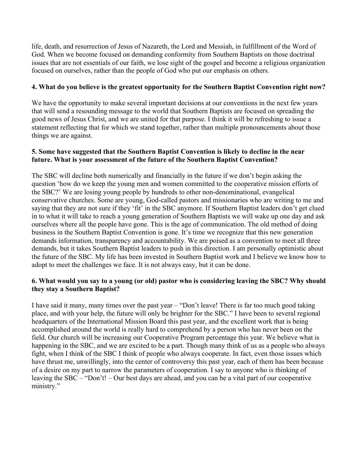life, death, and resurrection of Jesus of Nazareth, the Lord and Messiah, in fulfillment of the Word of God. When we become focused on demanding conformity from Southern Baptists on those doctrinal issues that are not essentials of our faith, we lose sight of the gospel and become a religious organization focused on ourselves, rather than the people of God who put our emphasis on others.

## **4. What do you believe is the greatest opportunity for the Southern Baptist Convention right now?**

We have the opportunity to make several important decisions at our conventions in the next few years that will send a resounding message to the world that Southern Baptists are focused on spreading the good news of Jesus Christ, and we are united for that purpose. I think it will be refreshing to issue a statement reflecting that for which we stand together, rather than multiple pronouncements about those things we are against.

# **5. Some have suggested that the Southern Baptist Convention is likely to decline in the near future. What is your assessment of the future of the Southern Baptist Convention?**

The SBC will decline both numerically and financially in the future if we don't begin asking the question 'how do we keep the young men and women committed to the cooperative mission efforts of the SBC?' We are losing young people by hundreds to other non-denominational, evangelical conservative churches. Some are young, God-called pastors and missionaries who are writing to me and saying that they are not sure if they 'fit' in the SBC anymore. If Southern Baptist leaders don't get clued in to what it will take to reach a young generation of Southern Baptists we will wake up one day and ask ourselves where all the people have gone. This is the age of communication. The old method of doing business in the Southern Baptist Convention is gone. It's time we recognize that this new generation demands information, transparency and accountability. We are poised as a convention to meet all three demands, but it takes Southern Baptist leaders to push in this direction. I am personally optimistic about the future of the SBC. My life has been invested in Southern Baptist work and I believe we know how to adopt to meet the challenges we face. It is not always easy, but it can be done.

### **6. What would you say to a young (or old) pastor who is considering leaving the SBC? Why should they stay a Southern Baptist?**

I have said it many, many times over the past year – "Don't leave! There is far too much good taking place, and with your help, the future will only be brighter for the SBC." I have been to several regional headquarters of the International Mission Board this past year, and the excellent work that is being accomplished around the world is really hard to comprehend by a person who has never been on the field. Our church will be increasing our Cooperative Program percentage this year. We believe what is happening in the SBC, and we are excited to be a part. Though many think of us as a people who always fight, when I think of the SBC I think of people who always cooperate. In fact, even those issues which have thrust me, unwillingly, into the center of controversy this past year, each of them has been because of a desire on my part to narrow the parameters of cooperation. I say to anyone who is thinking of leaving the SBC – "Don't! – Our best days are ahead, and you can be a vital part of our cooperative ministry."